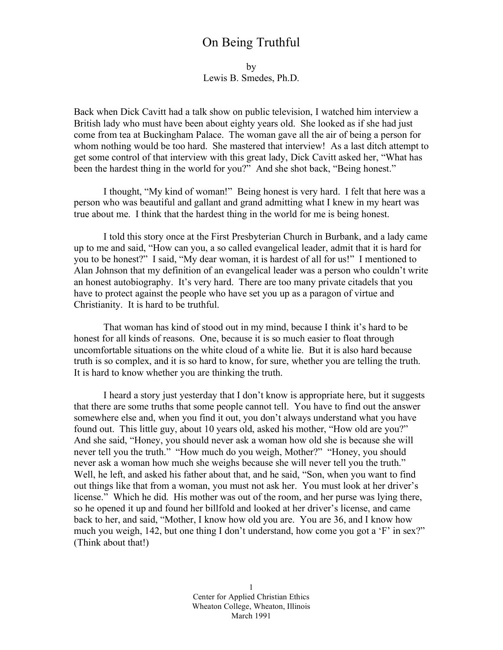# On Being Truthful

by Lewis B. Smedes, Ph.D.

Back when Dick Cavitt had a talk show on public television, I watched him interview a British lady who must have been about eighty years old. She looked as if she had just come from tea at Buckingham Palace. The woman gave all the air of being a person for whom nothing would be too hard. She mastered that interview! As a last ditch attempt to get some control of that interview with this great lady, Dick Cavitt asked her, "What has been the hardest thing in the world for you?" And she shot back, "Being honest."

I thought, "My kind of woman!" Being honest is very hard. I felt that here was a person who was beautiful and gallant and grand admitting what I knew in my heart was true about me. I think that the hardest thing in the world for me is being honest.

I told this story once at the First Presbyterian Church in Burbank, and a lady came up to me and said, "How can you, a so called evangelical leader, admit that it is hard for you to be honest?" I said, "My dear woman, it is hardest of all for us!" I mentioned to Alan Johnson that my definition of an evangelical leader was a person who couldn't write an honest autobiography. It's very hard. There are too many private citadels that you have to protect against the people who have set you up as a paragon of virtue and Christianity. It is hard to be truthful.

That woman has kind of stood out in my mind, because I think it's hard to be honest for all kinds of reasons. One, because it is so much easier to float through uncomfortable situations on the white cloud of a white lie. But it is also hard because truth is so complex, and it is so hard to know, for sure, whether you are telling the truth. It is hard to know whether you are thinking the truth.

I heard a story just yesterday that I don't know is appropriate here, but it suggests that there are some truths that some people cannot tell. You have to find out the answer somewhere else and, when you find it out, you don't always understand what you have found out. This little guy, about 10 years old, asked his mother, "How old are you?" And she said, "Honey, you should never ask a woman how old she is because she will never tell you the truth." "How much do you weigh, Mother?" "Honey, you should never ask a woman how much she weighs because she will never tell you the truth." Well, he left, and asked his father about that, and he said, "Son, when you want to find out things like that from a woman, you must not ask her. You must look at her driver's license." Which he did. His mother was out of the room, and her purse was lying there, so he opened it up and found her billfold and looked at her driver's license, and came back to her, and said, "Mother, I know how old you are. You are 36, and I know how much you weigh, 142, but one thing I don't understand, how come you got a 'F' in sex?" (Think about that!)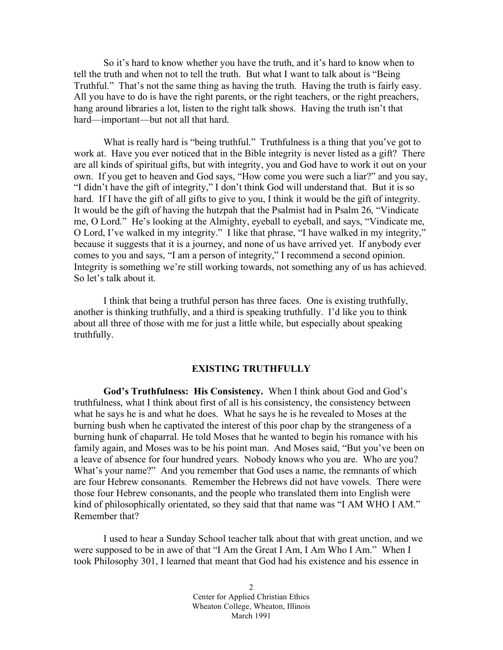So it's hard to know whether you have the truth, and it's hard to know when to tell the truth and when not to tell the truth. But what I want to talk about is "Being Truthful." That's not the same thing as having the truth. Having the truth is fairly easy. All you have to do is have the right parents, or the right teachers, or the right preachers, hang around libraries a lot, listen to the right talk shows. Having the truth isn't that hard—important—but not all that hard.

What is really hard is "being truthful." Truthfulness is a thing that you've got to work at. Have you ever noticed that in the Bible integrity is never listed as a gift? There are all kinds of spiritual gifts, but with integrity, you and God have to work it out on your own. If you get to heaven and God says, "How come you were such a liar?" and you say, "I didn't have the gift of integrity," I don't think God will understand that. But it is so hard. If I have the gift of all gifts to give to you, I think it would be the gift of integrity. It would be the gift of having the hutzpah that the Psalmist had in Psalm 26, "Vindicate me, O Lord." He's looking at the Almighty, eyeball to eyeball, and says, "Vindicate me, O Lord, I've walked in my integrity." I like that phrase, "I have walked in my integrity," because it suggests that it is a journey, and none of us have arrived yet. If anybody ever comes to you and says, "I am a person of integrity," I recommend a second opinion. Integrity is something we're still working towards, not something any of us has achieved. So let's talk about it.

I think that being a truthful person has three faces. One is existing truthfully, another is thinking truthfully, and a third is speaking truthfully. I'd like you to think about all three of those with me for just a little while, but especially about speaking truthfully.

## **EXISTING TRUTHFULLY**

**God's Truthfulness: His Consistency.** When I think about God and God's truthfulness, what I think about first of all is his consistency, the consistency between what he says he is and what he does. What he says he is he revealed to Moses at the burning bush when he captivated the interest of this poor chap by the strangeness of a burning hunk of chaparral. He told Moses that he wanted to begin his romance with his family again, and Moses was to be his point man. And Moses said, "But you've been on a leave of absence for four hundred years. Nobody knows who you are. Who are you? What's your name?" And you remember that God uses a name, the remnants of which are four Hebrew consonants. Remember the Hebrews did not have vowels. There were those four Hebrew consonants, and the people who translated them into English were kind of philosophically orientated, so they said that that name was "I AM WHO I AM." Remember that?

I used to hear a Sunday School teacher talk about that with great unction, and we were supposed to be in awe of that "I Am the Great I Am, I Am Who I Am." When I took Philosophy 301, I learned that meant that God had his existence and his essence in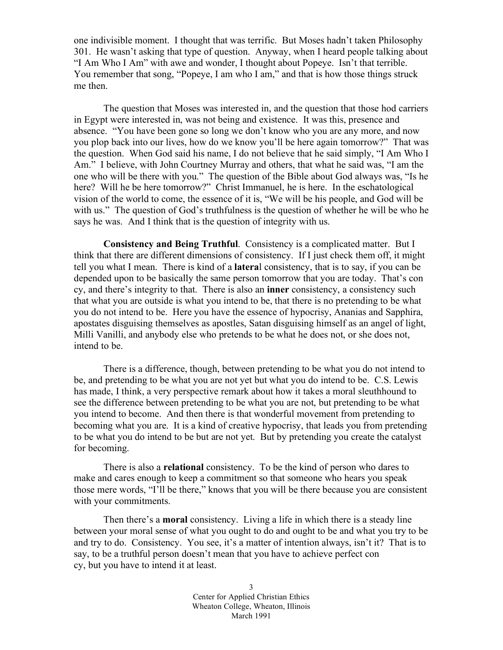one indivisible moment. I thought that was terrific. But Moses hadn't taken Philosophy 301. He wasn't asking that type of question. Anyway, when I heard people talking about "I Am Who I Am" with awe and wonder, I thought about Popeye. Isn't that terrible. You remember that song, "Popeye, I am who I am," and that is how those things struck me then.

The question that Moses was interested in, and the question that those hod carriers in Egypt were interested in, was not being and existence. It was this, presence and absence. "You have been gone so long we don't know who you are any more, and now you plop back into our lives, how do we know you'll be here again tomorrow?" That was the question. When God said his name, I do not believe that he said simply, "I Am Who I Am." I believe, with John Courtney Murray and others, that what he said was, "I am the one who will be there with you." The question of the Bible about God always was, "Is he here? Will he be here tomorrow?" Christ Immanuel, he is here. In the eschatological vision of the world to come, the essence of it is, "We will be his people, and God will be with us." The question of God's truthfulness is the question of whether he will be who he says he was. And I think that is the question of integrity with us.

**Consistency and Being Truthful**. Consistency is a complicated matter. But I think that there are different dimensions of consistency. If I just check them off, it might tell you what I mean. There is kind of a **latera**l consistency, that is to say, if you can be depended upon to be basically the same person tomorrow that you are today. That's con cy, and there's integrity to that. There is also an **inner** consistency, a consistency such that what you are outside is what you intend to be, that there is no pretending to be what you do not intend to be. Here you have the essence of hypocrisy, Ananias and Sapphira, apostates disguising themselves as apostles, Satan disguising himself as an angel of light, Milli Vanilli, and anybody else who pretends to be what he does not, or she does not, intend to be.

There is a difference, though, between pretending to be what you do not intend to be, and pretending to be what you are not yet but what you do intend to be. C.S. Lewis has made, I think, a very perspective remark about how it takes a moral sleuthhound to see the difference between pretending to be what you are not, but pretending to be what you intend to become. And then there is that wonderful movement from pretending to becoming what you are. It is a kind of creative hypocrisy, that leads you from pretending to be what you do intend to be but are not yet. But by pretending you create the catalyst for becoming.

There is also a **relational** consistency. To be the kind of person who dares to make and cares enough to keep a commitment so that someone who hears you speak those mere words, "I'll be there," knows that you will be there because you are consistent with your commitments.

Then there's a **moral** consistency. Living a life in which there is a steady line between your moral sense of what you ought to do and ought to be and what you try to be and try to do. Consistency. You see, it's a matter of intention always, isn't it? That is to say, to be a truthful person doesn't mean that you have to achieve perfect con cy, but you have to intend it at least.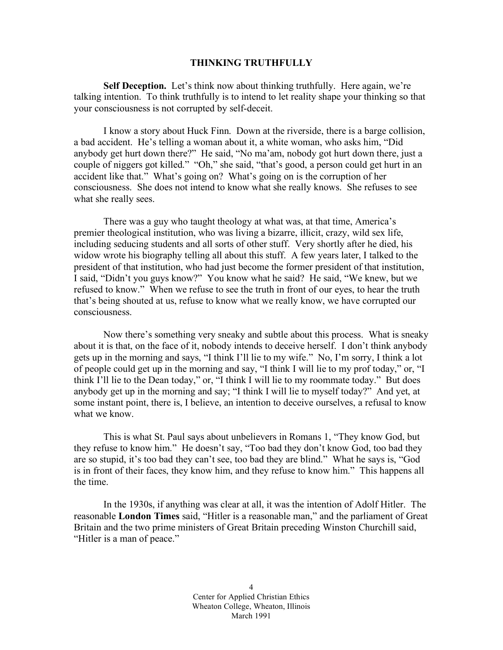## **THINKING TRUTHFULLY**

**Self Deception.** Let's think now about thinking truthfully. Here again, we're talking intention. To think truthfully is to intend to let reality shape your thinking so that your consciousness is not corrupted by self-deceit.

I know a story about Huck Finn. Down at the riverside, there is a barge collision, a bad accident. He's telling a woman about it, a white woman, who asks him, "Did anybody get hurt down there?" He said, "No ma'am, nobody got hurt down there, just a couple of niggers got killed." "Oh," she said, "that's good, a person could get hurt in an accident like that." What's going on? What's going on is the corruption of her consciousness. She does not intend to know what she really knows. She refuses to see what she really sees.

There was a guy who taught theology at what was, at that time, America's premier theological institution, who was living a bizarre, illicit, crazy, wild sex life, including seducing students and all sorts of other stuff. Very shortly after he died, his widow wrote his biography telling all about this stuff. A few years later, I talked to the president of that institution, who had just become the former president of that institution, I said, "Didn't you guys know?" You know what he said? He said, "We knew, but we refused to know." When we refuse to see the truth in front of our eyes, to hear the truth that's being shouted at us, refuse to know what we really know, we have corrupted our consciousness.

Now there's something very sneaky and subtle about this process. What is sneaky about it is that, on the face of it, nobody intends to deceive herself. I don't think anybody gets up in the morning and says, "I think I'll lie to my wife." No, I'm sorry, I think a lot of people could get up in the morning and say, "I think I will lie to my prof today," or, "I think I'll lie to the Dean today," or, "I think I will lie to my roommate today." But does anybody get up in the morning and say; "I think I will lie to myself today?" And yet, at some instant point, there is, I believe, an intention to deceive ourselves, a refusal to know what we know.

This is what St. Paul says about unbelievers in Romans 1, "They know God, but they refuse to know him." He doesn't say, "Too bad they don't know God, too bad they are so stupid, it's too bad they can't see, too bad they are blind." What he says is, "God is in front of their faces, they know him, and they refuse to know him." This happens all the time.

In the 1930s, if anything was clear at all, it was the intention of Adolf Hitler. The reasonable **London Times** said, "Hitler is a reasonable man," and the parliament of Great Britain and the two prime ministers of Great Britain preceding Winston Churchill said, "Hitler is a man of peace."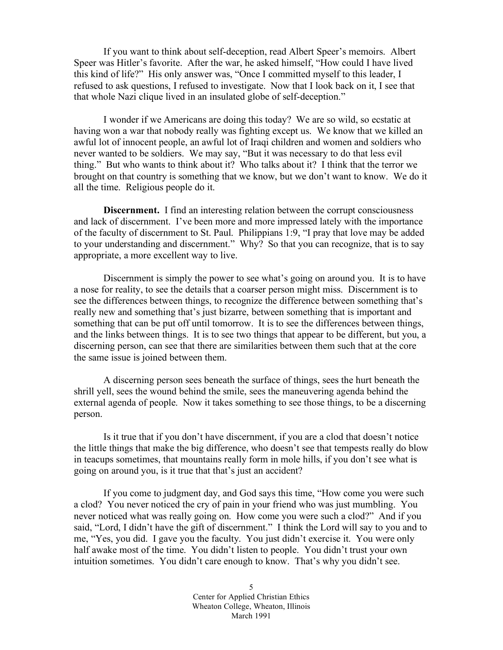If you want to think about self-deception, read Albert Speer's memoirs. Albert Speer was Hitler's favorite. After the war, he asked himself, "How could I have lived this kind of life?" His only answer was, "Once I committed myself to this leader, I refused to ask questions, I refused to investigate. Now that I look back on it, I see that that whole Nazi clique lived in an insulated globe of self-deception."

I wonder if we Americans are doing this today? We are so wild, so ecstatic at having won a war that nobody really was fighting except us. We know that we killed an awful lot of innocent people, an awful lot of Iraqi children and women and soldiers who never wanted to be soldiers. We may say, "But it was necessary to do that less evil thing." But who wants to think about it? Who talks about it? I think that the terror we brought on that country is something that we know, but we don't want to know. We do it all the time. Religious people do it.

**Discernment.** I find an interesting relation between the corrupt consciousness and lack of discernment. I've been more and more impressed lately with the importance of the faculty of discernment to St. Paul. Philippians 1:9, "I pray that love may be added to your understanding and discernment." Why? So that you can recognize, that is to say appropriate, a more excellent way to live.

Discernment is simply the power to see what's going on around you. It is to have a nose for reality, to see the details that a coarser person might miss. Discernment is to see the differences between things, to recognize the difference between something that's really new and something that's just bizarre, between something that is important and something that can be put off until tomorrow. It is to see the differences between things, and the links between things. It is to see two things that appear to be different, but you, a discerning person, can see that there are similarities between them such that at the core the same issue is joined between them.

A discerning person sees beneath the surface of things, sees the hurt beneath the shrill yell, sees the wound behind the smile, sees the maneuvering agenda behind the external agenda of people. Now it takes something to see those things, to be a discerning person.

Is it true that if you don't have discernment, if you are a clod that doesn't notice the little things that make the big difference, who doesn't see that tempests really do blow in teacups sometimes, that mountains really form in mole hills, if you don't see what is going on around you, is it true that that's just an accident?

If you come to judgment day, and God says this time, "How come you were such a clod? You never noticed the cry of pain in your friend who was just mumbling. You never noticed what was really going on. How come you were such a clod?" And if you said, "Lord, I didn't have the gift of discernment." I think the Lord will say to you and to me, "Yes, you did. I gave you the faculty. You just didn't exercise it. You were only half awake most of the time. You didn't listen to people. You didn't trust your own intuition sometimes. You didn't care enough to know. That's why you didn't see.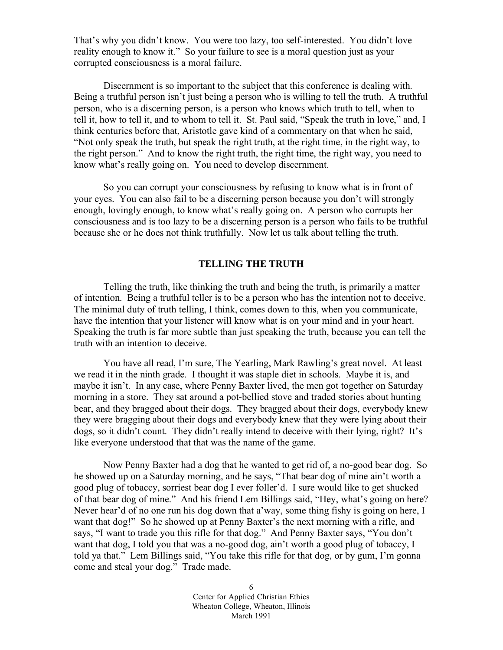That's why you didn't know. You were too lazy, too self-interested. You didn't love reality enough to know it." So your failure to see is a moral question just as your corrupted consciousness is a moral failure.

Discernment is so important to the subject that this conference is dealing with. Being a truthful person isn't just being a person who is willing to tell the truth. A truthful person, who is a discerning person, is a person who knows which truth to tell, when to tell it, how to tell it, and to whom to tell it. St. Paul said, "Speak the truth in love," and, I think centuries before that, Aristotle gave kind of a commentary on that when he said, "Not only speak the truth, but speak the right truth, at the right time, in the right way, to the right person." And to know the right truth, the right time, the right way, you need to know what's really going on. You need to develop discernment.

So you can corrupt your consciousness by refusing to know what is in front of your eyes. You can also fail to be a discerning person because you don't will strongly enough, lovingly enough, to know what's really going on. A person who corrupts her consciousness and is too lazy to be a discerning person is a person who fails to be truthful because she or he does not think truthfully. Now let us talk about telling the truth.

# **TELLING THE TRUTH**

Telling the truth, like thinking the truth and being the truth, is primarily a matter of intention. Being a truthful teller is to be a person who has the intention not to deceive. The minimal duty of truth telling, I think, comes down to this, when you communicate, have the intention that your listener will know what is on your mind and in your heart. Speaking the truth is far more subtle than just speaking the truth, because you can tell the truth with an intention to deceive.

You have all read, I'm sure, The Yearling, Mark Rawling's great novel. At least we read it in the ninth grade. I thought it was staple diet in schools. Maybe it is, and maybe it isn't. In any case, where Penny Baxter lived, the men got together on Saturday morning in a store. They sat around a pot-bellied stove and traded stories about hunting bear, and they bragged about their dogs. They bragged about their dogs, everybody knew they were bragging about their dogs and everybody knew that they were lying about their dogs, so it didn't count. They didn't really intend to deceive with their lying, right? It's like everyone understood that that was the name of the game.

Now Penny Baxter had a dog that he wanted to get rid of, a no-good bear dog. So he showed up on a Saturday morning, and he says, "That bear dog of mine ain't worth a good plug of tobaccy, sorriest bear dog I ever foller'd. I sure would like to get shucked of that bear dog of mine." And his friend Lem Billings said, "Hey, what's going on here? Never hear'd of no one run his dog down that a'way, some thing fishy is going on here, I want that dog!" So he showed up at Penny Baxter's the next morning with a rifle, and says, "I want to trade you this rifle for that dog." And Penny Baxter says, "You don't want that dog, I told you that was a no-good dog, ain't worth a good plug of tobaccy, I told ya that." Lem Billings said, "You take this rifle for that dog, or by gum, I'm gonna come and steal your dog." Trade made.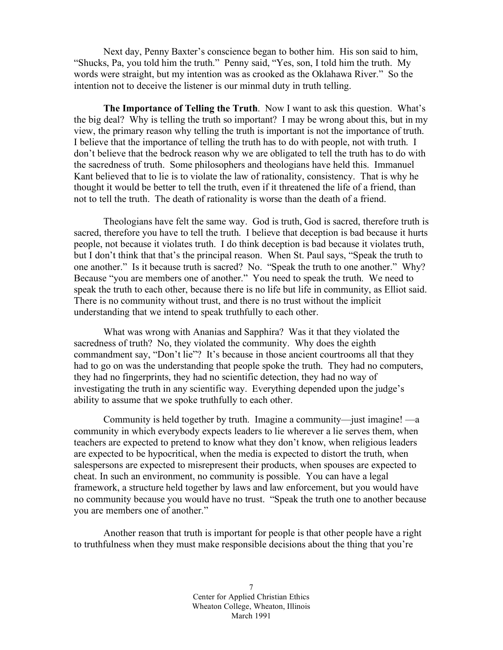Next day, Penny Baxter's conscience began to bother him. His son said to him, "Shucks, Pa, you told him the truth." Penny said, "Yes, son, I told him the truth. My words were straight, but my intention was as crooked as the Oklahawa River." So the intention not to deceive the listener is our minmal duty in truth telling.

**The Importance of Telling the Truth**. Now I want to ask this question. What's the big deal? Why is telling the truth so important? I may be wrong about this, but in my view, the primary reason why telling the truth is important is not the importance of truth. I believe that the importance of telling the truth has to do with people, not with truth. I don't believe that the bedrock reason why we are obligated to tell the truth has to do with the sacredness of truth. Some philosophers and theologians have held this. Immanuel Kant believed that to lie is to violate the law of rationality, consistency. That is why he thought it would be better to tell the truth, even if it threatened the life of a friend, than not to tell the truth. The death of rationality is worse than the death of a friend.

Theologians have felt the same way. God is truth, God is sacred, therefore truth is sacred, therefore you have to tell the truth. I believe that deception is bad because it hurts people, not because it violates truth. I do think deception is bad because it violates truth, but I don't think that that's the principal reason. When St. Paul says, "Speak the truth to one another." Is it because truth is sacred? No. "Speak the truth to one another." Why? Because "you are members one of another." You need to speak the truth. We need to speak the truth to each other, because there is no life but life in community, as Elliot said. There is no community without trust, and there is no trust without the implicit understanding that we intend to speak truthfully to each other.

What was wrong with Ananias and Sapphira? Was it that they violated the sacredness of truth? No, they violated the community. Why does the eighth commandment say, "Don't lie"? It's because in those ancient courtrooms all that they had to go on was the understanding that people spoke the truth. They had no computers, they had no fingerprints, they had no scientific detection, they had no way of investigating the truth in any scientific way. Everything depended upon the judge's ability to assume that we spoke truthfully to each other.

Community is held together by truth. Imagine a community—just imagine! —a community in which everybody expects leaders to lie wherever a lie serves them, when teachers are expected to pretend to know what they don't know, when religious leaders are expected to be hypocritical, when the media is expected to distort the truth, when salespersons are expected to misrepresent their products, when spouses are expected to cheat. In such an environment, no community is possible. You can have a legal framework, a structure held together by laws and law enforcement, but you would have no community because you would have no trust. "Speak the truth one to another because you are members one of another."

Another reason that truth is important for people is that other people have a right to truthfulness when they must make responsible decisions about the thing that you're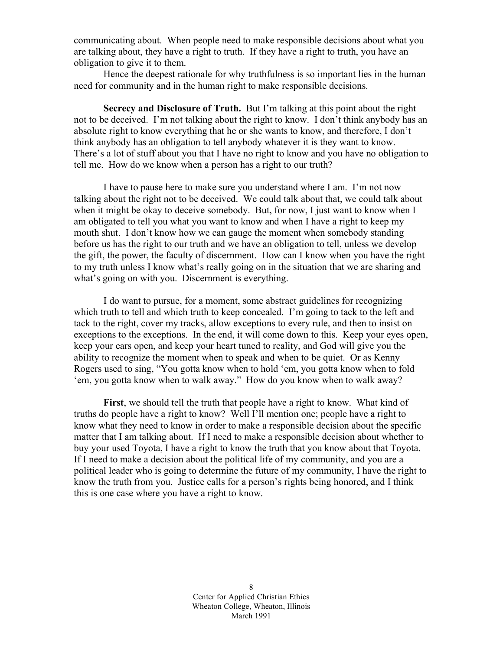communicating about. When people need to make responsible decisions about what you are talking about, they have a right to truth. If they have a right to truth, you have an obligation to give it to them.

Hence the deepest rationale for why truthfulness is so important lies in the human need for community and in the human right to make responsible decisions.

**Secrecy and Disclosure of Truth.** But I'm talking at this point about the right not to be deceived. I'm not talking about the right to know. I don't think anybody has an absolute right to know everything that he or she wants to know, and therefore, I don't think anybody has an obligation to tell anybody whatever it is they want to know. There's a lot of stuff about you that I have no right to know and you have no obligation to tell me. How do we know when a person has a right to our truth?

I have to pause here to make sure you understand where I am. I'm not now talking about the right not to be deceived. We could talk about that, we could talk about when it might be okay to deceive somebody. But, for now, I just want to know when I am obligated to tell you what you want to know and when I have a right to keep my mouth shut. I don't know how we can gauge the moment when somebody standing before us has the right to our truth and we have an obligation to tell, unless we develop the gift, the power, the faculty of discernment. How can I know when you have the right to my truth unless I know what's really going on in the situation that we are sharing and what's going on with you. Discernment is everything.

I do want to pursue, for a moment, some abstract guidelines for recognizing which truth to tell and which truth to keep concealed. I'm going to tack to the left and tack to the right, cover my tracks, allow exceptions to every rule, and then to insist on exceptions to the exceptions. In the end, it will come down to this. Keep your eyes open, keep your ears open, and keep your heart tuned to reality, and God will give you the ability to recognize the moment when to speak and when to be quiet. Or as Kenny Rogers used to sing, "You gotta know when to hold 'em, you gotta know when to fold 'em, you gotta know when to walk away." How do you know when to walk away?

**First**, we should tell the truth that people have a right to know. What kind of truths do people have a right to know? Well I'll mention one; people have a right to know what they need to know in order to make a responsible decision about the specific matter that I am talking about. If I need to make a responsible decision about whether to buy your used Toyota, I have a right to know the truth that you know about that Toyota. If I need to make a decision about the political life of my community, and you are a political leader who is going to determine the future of my community, I have the right to know the truth from you. Justice calls for a person's rights being honored, and I think this is one case where you have a right to know.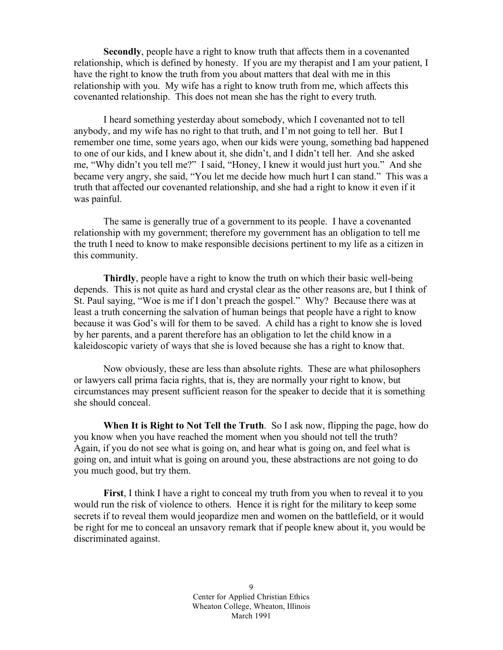**Secondly**, people have a right to know truth that affects them in a covenanted relationship, which is defined by honesty. If you are my therapist and I am your patient, I have the right to know the truth from you about matters that deal with me in this relationship with you. My wife has a right to know truth from me, which affects this covenanted relationship. This does not mean she has the right to every truth.

I heard something yesterday about somebody, which I covenanted not to tell anybody, and my wife has no right to that truth, and I'm not going to tell her. But I remember one time, some years ago, when our kids were young, something bad happened to one of our kids, and I knew about it, she didn't, and I didn't tell her. And she asked me, "Why didn't you tell me?" I said, "Honey, I knew it would just hurt you." And she became very angry, she said, "You let me decide how much hurt I can stand." This was a truth that affected our covenanted relationship, and she had a right to know it even if it was painful.

The same is generally true of a government to its people. I have a covenanted relationship with my government; therefore my government has an obligation to tell me the truth I need to know to make responsible decisions pertinent to my life as a citizen in this community.

**Thirdly**, people have a right to know the truth on which their basic well-being depends. This is not quite as hard and crystal clear as the other reasons are, but I think of St. Paul saying, "Woe is me if I don't preach the gospel." Why? Because there was at least a truth concerning the salvation of human beings that people have a right to know because it was God's will for them to be saved. A child has a right to know she is loved by her parents, and a parent therefore has an obligation to let the child know in a kaleidoscopic variety of ways that she is loved because she has a right to know that.

Now obviously, these are less than absolute rights. These are what philosophers or lawyers call prima facia rights, that is, they are normally your right to know, but circumstances may present sufficient reason for the speaker to decide that it is something she should conceal.

**When It is Right to Not Tell the Truth**. So I ask now, flipping the page, how do you know when you have reached the moment when you should not tell the truth? Again, if you do not see what is going on, and hear what is going on, and feel what is going on, and intuit what is going on around you, these abstractions are not going to do you much good, but try them.

**First**, I think I have a right to conceal my truth from you when to reveal it to you would run the risk of violence to others. Hence it is right for the military to keep some secrets if to reveal them would jeopardize men and women on the battlefield, or it would be right for me to conceal an unsavory remark that if people knew about it, you would be discriminated against.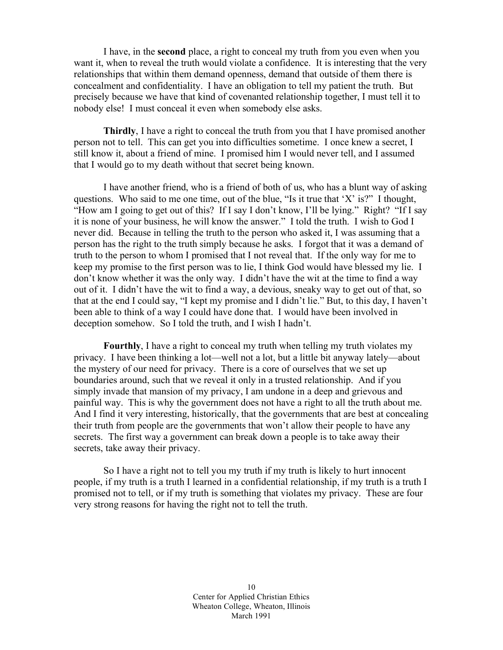I have, in the **second** place, a right to conceal my truth from you even when you want it, when to reveal the truth would violate a confidence. It is interesting that the very relationships that within them demand openness, demand that outside of them there is concealment and confidentiality. I have an obligation to tell my patient the truth. But precisely because we have that kind of covenanted relationship together, I must tell it to nobody else! I must conceal it even when somebody else asks.

**Thirdly**, I have a right to conceal the truth from you that I have promised another person not to tell. This can get you into difficulties sometime. I once knew a secret, I still know it, about a friend of mine. I promised him I would never tell, and I assumed that I would go to my death without that secret being known.

I have another friend, who is a friend of both of us, who has a blunt way of asking questions. Who said to me one time, out of the blue, "Is it true that 'X' is?" I thought, "How am I going to get out of this? If I say I don't know, I'll be lying." Right? "If I say it is none of your business, he will know the answer." I told the truth. I wish to God I never did. Because in telling the truth to the person who asked it, I was assuming that a person has the right to the truth simply because he asks. I forgot that it was a demand of truth to the person to whom I promised that I not reveal that. If the only way for me to keep my promise to the first person was to lie, I think God would have blessed my lie. I don't know whether it was the only way. I didn't have the wit at the time to find a way out of it. I didn't have the wit to find a way, a devious, sneaky way to get out of that, so that at the end I could say, "I kept my promise and I didn't lie." But, to this day, I haven't been able to think of a way I could have done that. I would have been involved in deception somehow. So I told the truth, and I wish I hadn't.

**Fourthly**, I have a right to conceal my truth when telling my truth violates my privacy. I have been thinking a lot—well not a lot, but a little bit anyway lately—about the mystery of our need for privacy. There is a core of ourselves that we set up boundaries around, such that we reveal it only in a trusted relationship. And if you simply invade that mansion of my privacy, I am undone in a deep and grievous and painful way. This is why the government does not have a right to all the truth about me. And I find it very interesting, historically, that the governments that are best at concealing their truth from people are the governments that won't allow their people to have any secrets. The first way a government can break down a people is to take away their secrets, take away their privacy.

So I have a right not to tell you my truth if my truth is likely to hurt innocent people, if my truth is a truth I learned in a confidential relationship, if my truth is a truth I promised not to tell, or if my truth is something that violates my privacy. These are four very strong reasons for having the right not to tell the truth.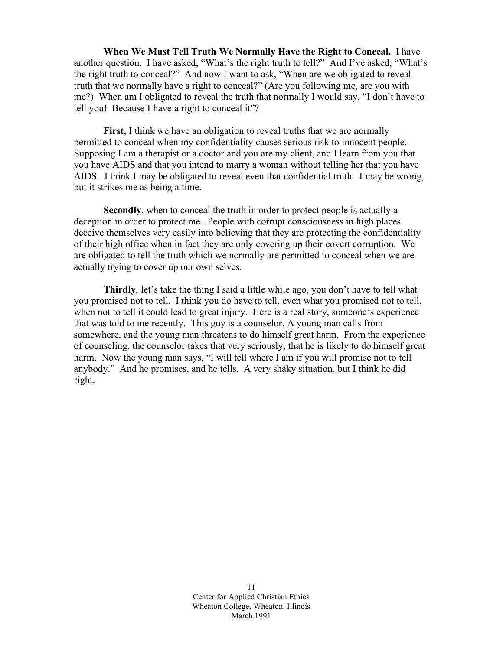**When We Must Tell Truth We Normally Have the Right to Conceal.** I have another question. I have asked, "What's the right truth to tell?" And I've asked, "What's the right truth to conceal?" And now I want to ask, "When are we obligated to reveal truth that we normally have a right to conceal?" (Are you following me, are you with me?) When am I obligated to reveal the truth that normally I would say, "I don't have to tell you! Because I have a right to conceal it"?

**First**, I think we have an obligation to reveal truths that we are normally permitted to conceal when my confidentiality causes serious risk to innocent people. Supposing I am a therapist or a doctor and you are my client, and I learn from you that you have AIDS and that you intend to marry a woman without telling her that you have AIDS. I think I may be obligated to reveal even that confidential truth. I may be wrong, but it strikes me as being a time.

**Secondly**, when to conceal the truth in order to protect people is actually a deception in order to protect me. People with corrupt consciousness in high places deceive themselves very easily into believing that they are protecting the confidentiality of their high office when in fact they are only covering up their covert corruption. We are obligated to tell the truth which we normally are permitted to conceal when we are actually trying to cover up our own selves.

**Thirdly**, let's take the thing I said a little while ago, you don't have to tell what you promised not to tell. I think you do have to tell, even what you promised not to tell, when not to tell it could lead to great injury. Here is a real story, someone's experience that was told to me recently. This guy is a counselor. A young man calls from somewhere, and the young man threatens to do himself great harm. From the experience of counseling, the counselor takes that very seriously, that he is likely to do himself great harm. Now the young man says, "I will tell where I am if you will promise not to tell anybody." And he promises, and he tells. A very shaky situation, but I think he did right.